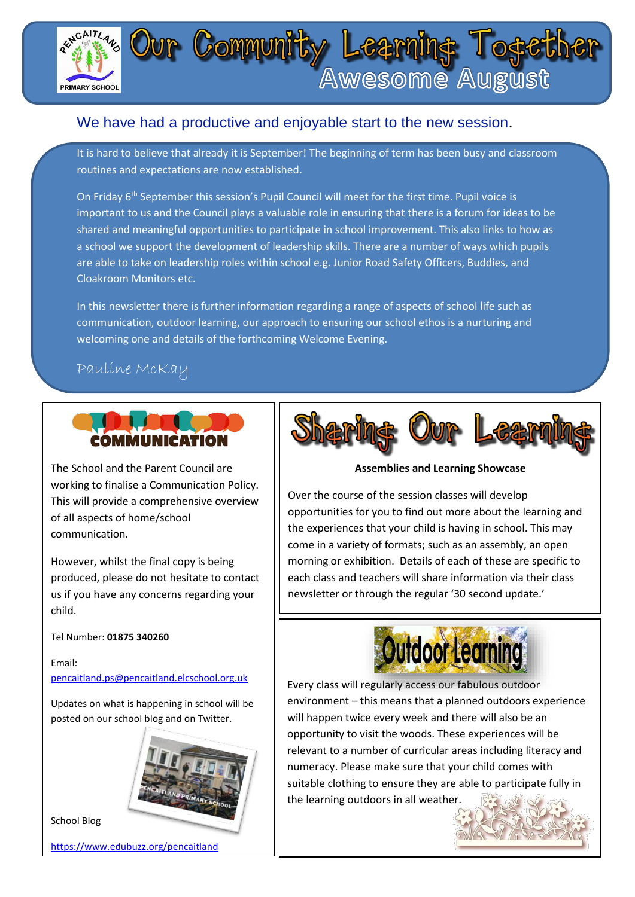

### We have had a productive and enjoyable start to the new session.

It is hard to believe that already it is September! The beginning of term has been busy and classroom routines and expectations are now established.

On Friday 6<sup>th</sup> September this session's Pupil Council will meet for the first time. Pupil voice is important to us and the Council plays a valuable role in ensuring that there is a forum for ideas to be shared and meaningful opportunities to participate in school improvement. This also links to how as a school we support the development of leadership skills. There are a number of ways which pupils are able to take on leadership roles within school e.g. Junior Road Safety Officers, Buddies, and Cloakroom Monitors etc.

In this newsletter there is further information regarding a range of aspects of school life such as communication, outdoor learning, our approach to ensuring our school ethos is a nurturing and welcoming one and details of the forthcoming Welcome Evening.

### Pauline McKay



The School and the Parent Council are working to finalise a Communication Policy. This will provide a comprehensive overview of all aspects of home/school communication.

However, whilst the final copy is being produced, please do not hesitate to contact us if you have any concerns regarding your child.

Tel Number: **01875 340260**

Email: [pencaitland.ps@pencaitland.elcschool.org.uk](mailto:pencaitland.ps@pencaitland.elcschool.org.uk)

Updates on what is happening in school will be posted on our school blog and on Twitter.



School Blog

<https://www.edubuzz.org/pencaitland>



**Assemblies and Learning Showcase**

. come in a variety of formats; such as an assembly, an open Over the course of the session classes will develop opportunities for you to find out more about the learning and the experiences that your child is having in school. This may morning or exhibition. Details of each of these are specific to each class and teachers will share information via their class newsletter or through the regular '30 second update.'



Every class will regularly access our fabulous outdoor environment – this means that a planned outdoors experience will happen twice every week and there will also be an opportunity to visit the woods. These experiences will be relevant to a number of curricular areas including literacy and numeracy. Please make sure that your child comes with suitable clothing to ensure they are able to participate fully in the learning outdoors in all weather.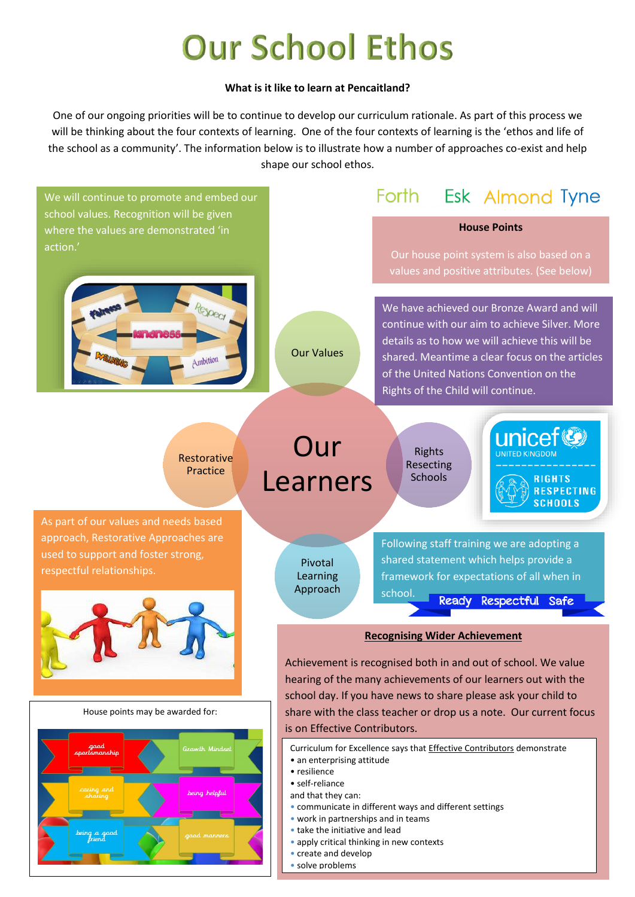# **Our School Ethos**

#### **What is it like to learn at Pencaitland?**

One of our ongoing priorities will be to continue to develop our curriculum rationale. As part of this process we will be thinking about the four contexts of learning. One of the four contexts of learning is the 'ethos and life of the school as a community'. The information below is to illustrate how a number of approaches co-exist and help shape our school ethos.